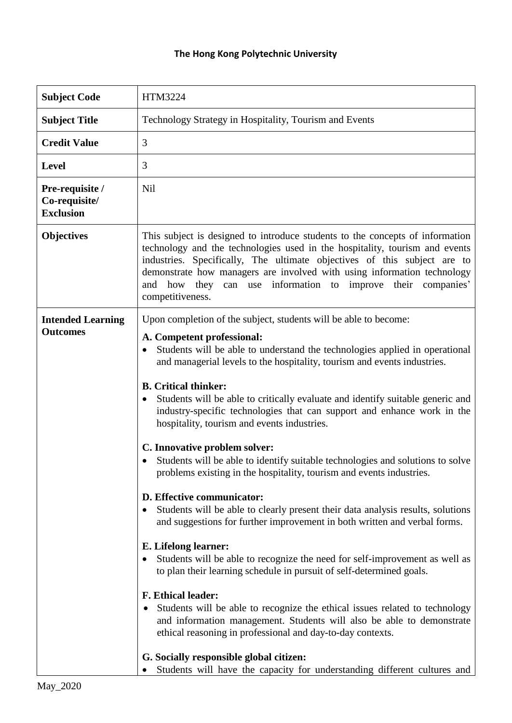## **The Hong Kong Polytechnic University**

| <b>Subject Code</b>                                  | HTM3224                                                                                                                                                                                                                                                                                                                                                                                                                                                                                                                                                                                                                                                                                                                                                                                                                                                                                                                                                                                                                                                                                                                                                                                                                                                                                                                                                                                                                                                                               |
|------------------------------------------------------|---------------------------------------------------------------------------------------------------------------------------------------------------------------------------------------------------------------------------------------------------------------------------------------------------------------------------------------------------------------------------------------------------------------------------------------------------------------------------------------------------------------------------------------------------------------------------------------------------------------------------------------------------------------------------------------------------------------------------------------------------------------------------------------------------------------------------------------------------------------------------------------------------------------------------------------------------------------------------------------------------------------------------------------------------------------------------------------------------------------------------------------------------------------------------------------------------------------------------------------------------------------------------------------------------------------------------------------------------------------------------------------------------------------------------------------------------------------------------------------|
| <b>Subject Title</b>                                 | Technology Strategy in Hospitality, Tourism and Events                                                                                                                                                                                                                                                                                                                                                                                                                                                                                                                                                                                                                                                                                                                                                                                                                                                                                                                                                                                                                                                                                                                                                                                                                                                                                                                                                                                                                                |
| <b>Credit Value</b>                                  | 3                                                                                                                                                                                                                                                                                                                                                                                                                                                                                                                                                                                                                                                                                                                                                                                                                                                                                                                                                                                                                                                                                                                                                                                                                                                                                                                                                                                                                                                                                     |
| <b>Level</b>                                         | 3                                                                                                                                                                                                                                                                                                                                                                                                                                                                                                                                                                                                                                                                                                                                                                                                                                                                                                                                                                                                                                                                                                                                                                                                                                                                                                                                                                                                                                                                                     |
| Pre-requisite /<br>Co-requisite/<br><b>Exclusion</b> | <b>Nil</b>                                                                                                                                                                                                                                                                                                                                                                                                                                                                                                                                                                                                                                                                                                                                                                                                                                                                                                                                                                                                                                                                                                                                                                                                                                                                                                                                                                                                                                                                            |
| <b>Objectives</b>                                    | This subject is designed to introduce students to the concepts of information<br>technology and the technologies used in the hospitality, tourism and events<br>industries. Specifically, The ultimate objectives of this subject are to<br>demonstrate how managers are involved with using information technology<br>and how they can use information to improve their companies'<br>competitiveness.                                                                                                                                                                                                                                                                                                                                                                                                                                                                                                                                                                                                                                                                                                                                                                                                                                                                                                                                                                                                                                                                               |
| <b>Intended Learning</b><br><b>Outcomes</b>          | Upon completion of the subject, students will be able to become:<br>A. Competent professional:<br>Students will be able to understand the technologies applied in operational<br>$\bullet$<br>and managerial levels to the hospitality, tourism and events industries.<br><b>B.</b> Critical thinker:<br>Students will be able to critically evaluate and identify suitable generic and<br>٠<br>industry-specific technologies that can support and enhance work in the<br>hospitality, tourism and events industries.<br>C. Innovative problem solver:<br>Students will be able to identify suitable technologies and solutions to solve<br>problems existing in the hospitality, tourism and events industries.<br>D. Effective communicator:<br>Students will be able to clearly present their data analysis results, solutions<br>$\bullet$<br>and suggestions for further improvement in both written and verbal forms.<br>E. Lifelong learner:<br>Students will be able to recognize the need for self-improvement as well as<br>to plan their learning schedule in pursuit of self-determined goals.<br><b>F. Ethical leader:</b><br>Students will be able to recognize the ethical issues related to technology<br>and information management. Students will also be able to demonstrate<br>ethical reasoning in professional and day-to-day contexts.<br>G. Socially responsible global citizen:<br>Students will have the capacity for understanding different cultures and |